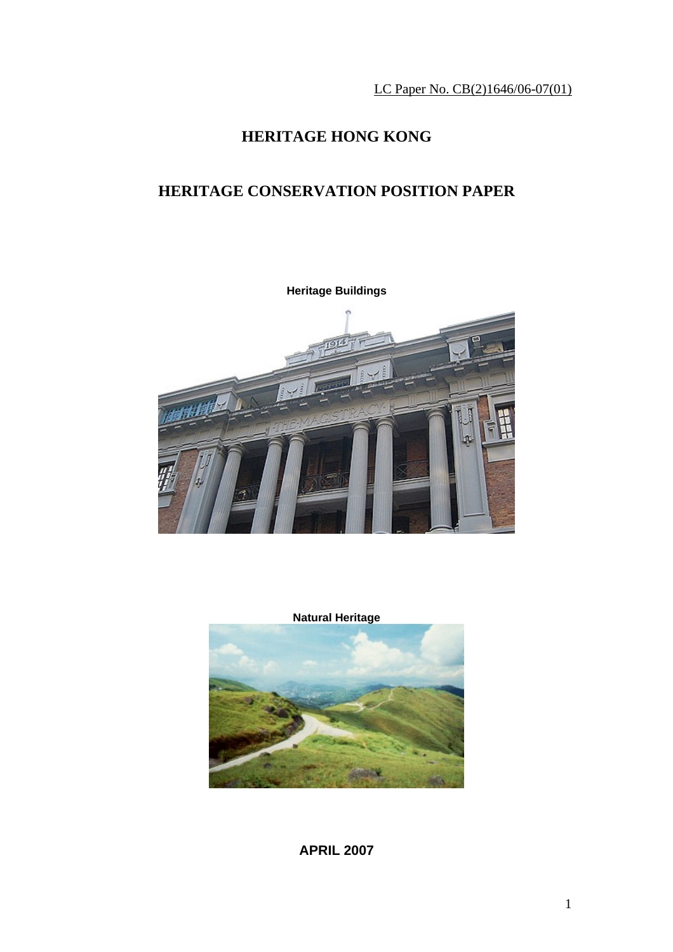LC Paper No. CB(2)1646/06-07(01)

# **HERITAGE HONG KONG**

## **HERITAGE CONSERVATION POSITION PAPER**



**Natural Heritage** 



**APRIL 2007**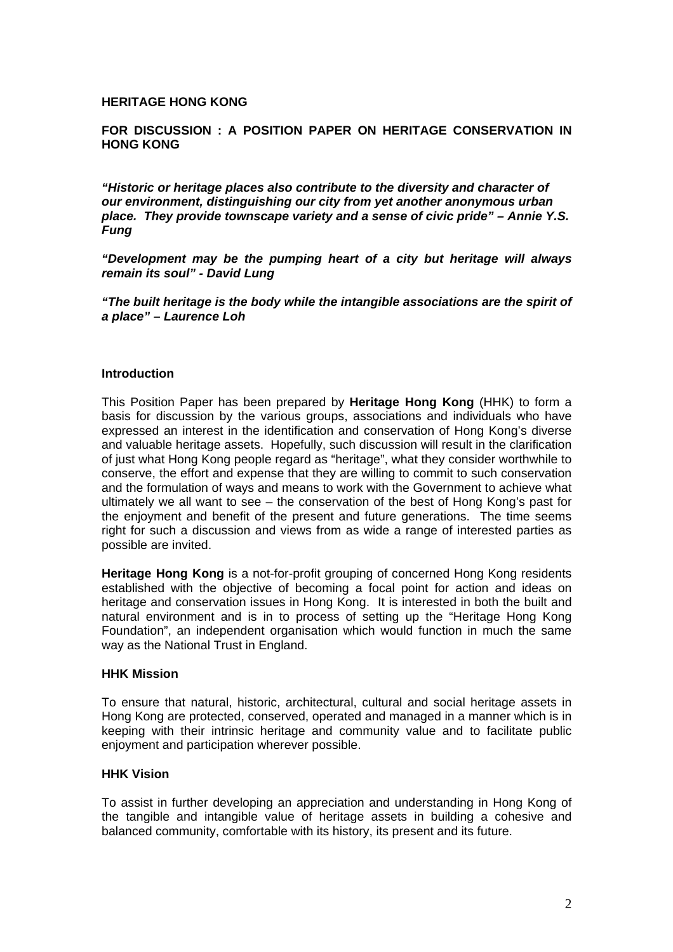#### **HERITAGE HONG KONG**

### **FOR DISCUSSION : A POSITION PAPER ON HERITAGE CONSERVATION IN HONG KONG**

*"Historic or heritage places also contribute to the diversity and character of our environment, distinguishing our city from yet another anonymous urban place. They provide townscape variety and a sense of civic pride" – Annie Y.S. Fung* 

*"Development may be the pumping heart of a city but heritage will always remain its soul" - David Lung* 

*"The built heritage is the body while the intangible associations are the spirit of a place" – Laurence Loh* 

#### **Introduction**

This Position Paper has been prepared by **Heritage Hong Kong** (HHK) to form a basis for discussion by the various groups, associations and individuals who have expressed an interest in the identification and conservation of Hong Kong's diverse and valuable heritage assets. Hopefully, such discussion will result in the clarification of just what Hong Kong people regard as "heritage", what they consider worthwhile to conserve, the effort and expense that they are willing to commit to such conservation and the formulation of ways and means to work with the Government to achieve what ultimately we all want to see – the conservation of the best of Hong Kong's past for the enjoyment and benefit of the present and future generations. The time seems right for such a discussion and views from as wide a range of interested parties as possible are invited.

**Heritage Hong Kong** is a not-for-profit grouping of concerned Hong Kong residents established with the objective of becoming a focal point for action and ideas on heritage and conservation issues in Hong Kong. It is interested in both the built and natural environment and is in to process of setting up the "Heritage Hong Kong Foundation", an independent organisation which would function in much the same way as the National Trust in England.

#### **HHK Mission**

To ensure that natural, historic, architectural, cultural and social heritage assets in Hong Kong are protected, conserved, operated and managed in a manner which is in keeping with their intrinsic heritage and community value and to facilitate public enjoyment and participation wherever possible.

#### **HHK Vision**

To assist in further developing an appreciation and understanding in Hong Kong of the tangible and intangible value of heritage assets in building a cohesive and balanced community, comfortable with its history, its present and its future.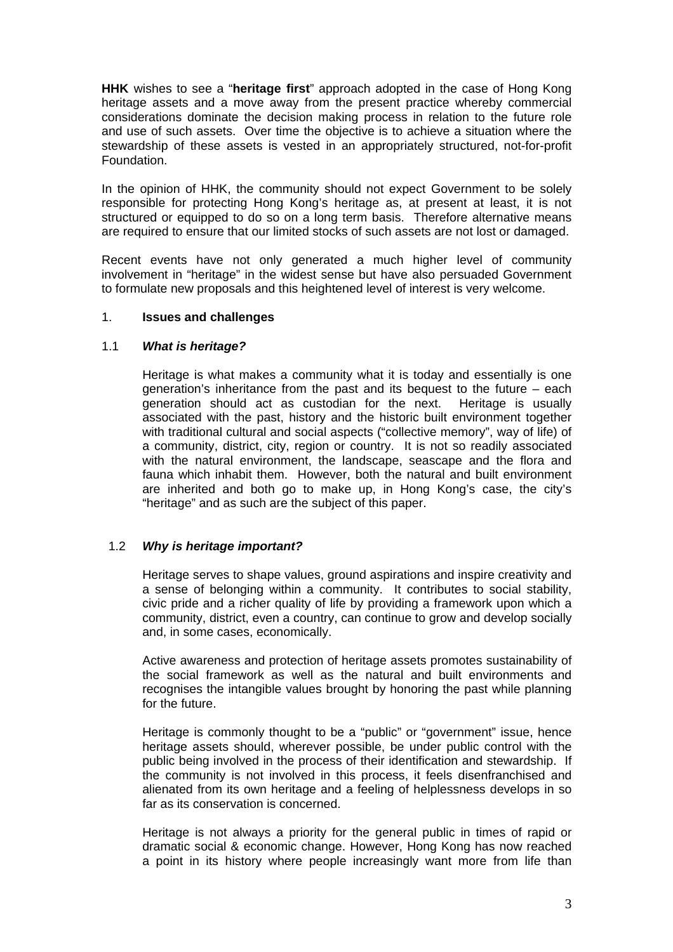**HHK** wishes to see a "**heritage first**" approach adopted in the case of Hong Kong heritage assets and a move away from the present practice whereby commercial considerations dominate the decision making process in relation to the future role and use of such assets. Over time the objective is to achieve a situation where the stewardship of these assets is vested in an appropriately structured, not-for-profit Foundation.

In the opinion of HHK, the community should not expect Government to be solely responsible for protecting Hong Kong's heritage as, at present at least, it is not structured or equipped to do so on a long term basis. Therefore alternative means are required to ensure that our limited stocks of such assets are not lost or damaged.

Recent events have not only generated a much higher level of community involvement in "heritage" in the widest sense but have also persuaded Government to formulate new proposals and this heightened level of interest is very welcome.

## 1. **Issues and challenges**

### 1.1 *What is heritage?*

Heritage is what makes a community what it is today and essentially is one generation's inheritance from the past and its bequest to the future – each generation should act as custodian for the next. Heritage is usually associated with the past, history and the historic built environment together with traditional cultural and social aspects ("collective memory", way of life) of a community, district, city, region or country. It is not so readily associated with the natural environment, the landscape, seascape and the flora and fauna which inhabit them. However, both the natural and built environment are inherited and both go to make up, in Hong Kong's case, the city's "heritage" and as such are the subject of this paper.

## 1.2 *Why is heritage important?*

Heritage serves to shape values, ground aspirations and inspire creativity and a sense of belonging within a community. It contributes to social stability, civic pride and a richer quality of life by providing a framework upon which a community, district, even a country, can continue to grow and develop socially and, in some cases, economically.

 Active awareness and protection of heritage assets promotes sustainability of the social framework as well as the natural and built environments and recognises the intangible values brought by honoring the past while planning for the future.

 Heritage is commonly thought to be a "public" or "government" issue, hence heritage assets should, wherever possible, be under public control with the public being involved in the process of their identification and stewardship. If the community is not involved in this process, it feels disenfranchised and alienated from its own heritage and a feeling of helplessness develops in so far as its conservation is concerned.

 Heritage is not always a priority for the general public in times of rapid or dramatic social & economic change. However, Hong Kong has now reached a point in its history where people increasingly want more from life than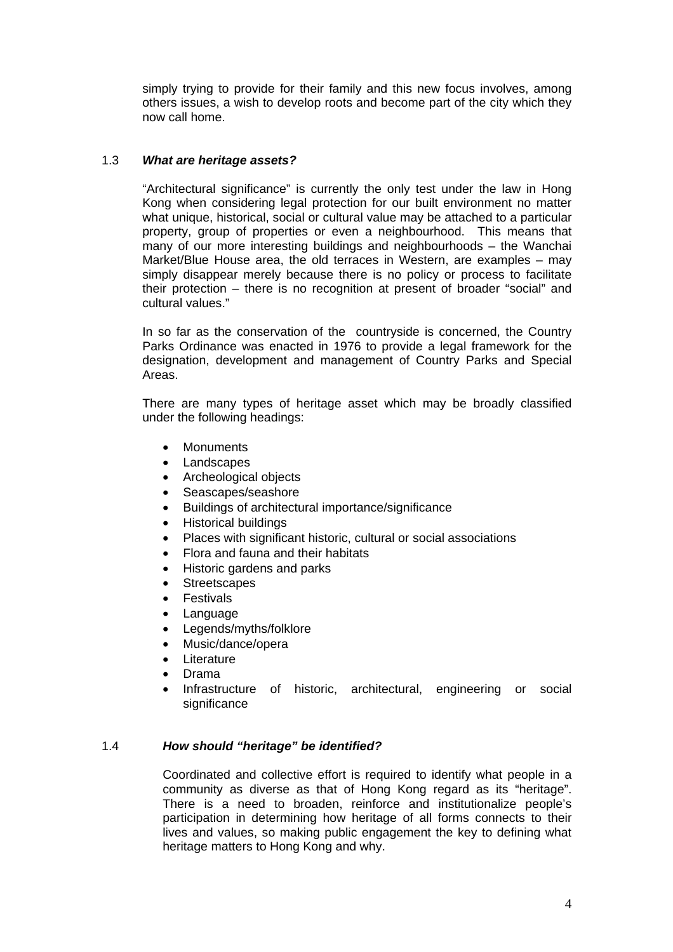simply trying to provide for their family and this new focus involves, among others issues, a wish to develop roots and become part of the city which they now call home.

## 1.3 *What are heritage assets?*

 "Architectural significance" is currently the only test under the law in Hong Kong when considering legal protection for our built environment no matter what unique, historical, social or cultural value may be attached to a particular property, group of properties or even a neighbourhood. This means that many of our more interesting buildings and neighbourhoods – the Wanchai Market/Blue House area, the old terraces in Western, are examples – may simply disappear merely because there is no policy or process to facilitate their protection – there is no recognition at present of broader "social" and cultural values."

In so far as the conservation of the countryside is concerned, the Country Parks Ordinance was enacted in 1976 to provide a legal framework for the designation, development and management of Country Parks and Special Areas.

 There are many types of heritage asset which may be broadly classified under the following headings:

- Monuments
- Landscapes
- Archeological objects
- Seascapes/seashore
- Buildings of architectural importance/significance
- Historical buildings
- Places with significant historic, cultural or social associations
- Flora and fauna and their habitats
- Historic gardens and parks
- **Streetscapes**
- **Festivals**
- **Language**
- Legends/myths/folklore
- Music/dance/opera
- Literature
- Drama
- Infrastructure of historic, architectural, engineering or social significance

#### 1.4 *How should "heritage" be identified?*

Coordinated and collective effort is required to identify what people in a community as diverse as that of Hong Kong regard as its "heritage". There is a need to broaden, reinforce and institutionalize people's participation in determining how heritage of all forms connects to their lives and values, so making public engagement the key to defining what heritage matters to Hong Kong and why.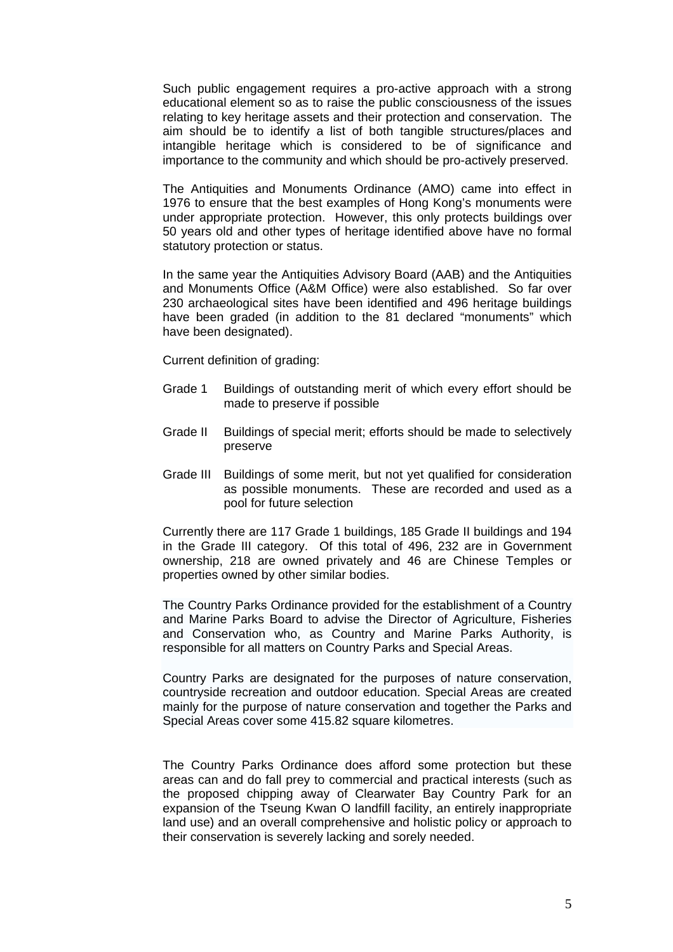Such public engagement requires a pro-active approach with a strong educational element so as to raise the public consciousness of the issues relating to key heritage assets and their protection and conservation. The aim should be to identify a list of both tangible structures/places and intangible heritage which is considered to be of significance and importance to the community and which should be pro-actively preserved.

 The Antiquities and Monuments Ordinance (AMO) came into effect in 1976 to ensure that the best examples of Hong Kong's monuments were under appropriate protection. However, this only protects buildings over 50 years old and other types of heritage identified above have no formal statutory protection or status.

In the same year the Antiquities Advisory Board (AAB) and the Antiquities and Monuments Office (A&M Office) were also established. So far over 230 archaeological sites have been identified and 496 heritage buildings have been graded (in addition to the 81 declared "monuments" which have been designated).

Current definition of grading:

- Grade 1 Buildings of outstanding merit of which every effort should be made to preserve if possible
- Grade II Buildings of special merit; efforts should be made to selectively preserve
- Grade III Buildings of some merit, but not yet qualified for consideration as possible monuments. These are recorded and used as a pool for future selection

 Currently there are 117 Grade 1 buildings, 185 Grade II buildings and 194 in the Grade III category. Of this total of 496, 232 are in Government ownership, 218 are owned privately and 46 are Chinese Temples or properties owned by other similar bodies.

The Country Parks Ordinance provided for the establishment of a Country and Marine Parks Board to advise the Director of Agriculture, Fisheries and Conservation who, as Country and Marine Parks Authority, is responsible for all matters on Country Parks and Special Areas.

Country Parks are designated for the purposes of nature conservation, countryside recreation and outdoor education. Special Areas are created mainly for the purpose of nature conservation and together the Parks and Special Areas cover some 415.82 square kilometres.

The Country Parks Ordinance does afford some protection but these areas can and do fall prey to commercial and practical interests (such as the proposed chipping away of Clearwater Bay Country Park for an expansion of the Tseung Kwan O landfill facility, an entirely inappropriate land use) and an overall comprehensive and holistic policy or approach to their conservation is severely lacking and sorely needed.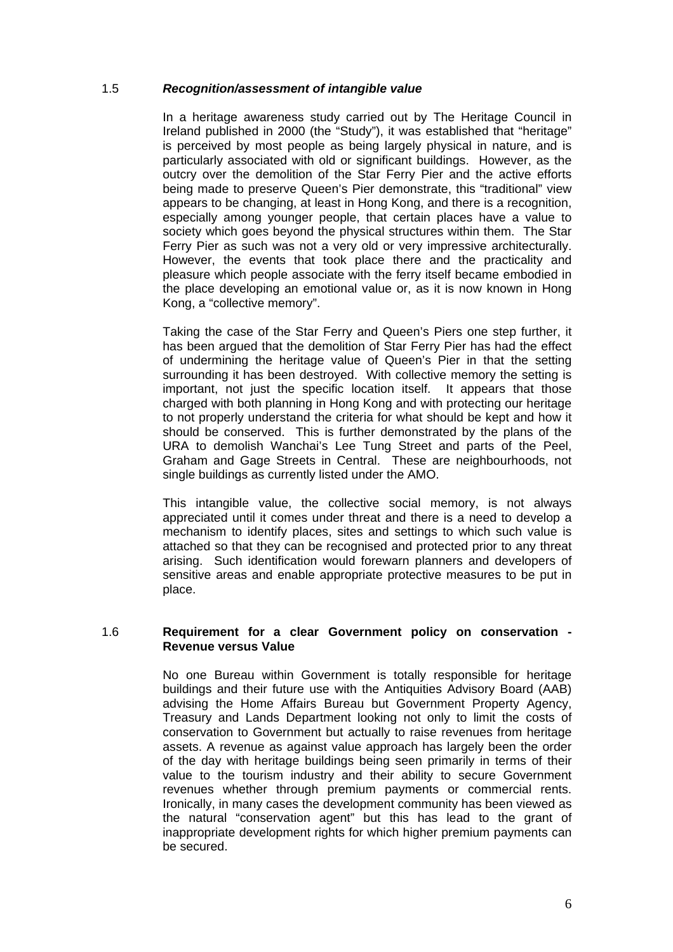## 1.5 *Recognition/assessment of intangible value*

In a heritage awareness study carried out by The Heritage Council in Ireland published in 2000 (the "Study"), it was established that "heritage" is perceived by most people as being largely physical in nature, and is particularly associated with old or significant buildings. However, as the outcry over the demolition of the Star Ferry Pier and the active efforts being made to preserve Queen's Pier demonstrate, this "traditional" view appears to be changing, at least in Hong Kong, and there is a recognition, especially among younger people, that certain places have a value to society which goes beyond the physical structures within them. The Star Ferry Pier as such was not a very old or very impressive architecturally. However, the events that took place there and the practicality and pleasure which people associate with the ferry itself became embodied in the place developing an emotional value or, as it is now known in Hong Kong, a "collective memory".

 Taking the case of the Star Ferry and Queen's Piers one step further, it has been argued that the demolition of Star Ferry Pier has had the effect of undermining the heritage value of Queen's Pier in that the setting surrounding it has been destroyed. With collective memory the setting is important, not just the specific location itself. It appears that those charged with both planning in Hong Kong and with protecting our heritage to not properly understand the criteria for what should be kept and how it should be conserved. This is further demonstrated by the plans of the URA to demolish Wanchai's Lee Tung Street and parts of the Peel, Graham and Gage Streets in Central. These are neighbourhoods, not single buildings as currently listed under the AMO.

 This intangible value, the collective social memory, is not always appreciated until it comes under threat and there is a need to develop a mechanism to identify places, sites and settings to which such value is attached so that they can be recognised and protected prior to any threat arising. Such identification would forewarn planners and developers of sensitive areas and enable appropriate protective measures to be put in place.

### 1.6 **Requirement for a clear Government policy on conservation - Revenue versus Value**

 No one Bureau within Government is totally responsible for heritage buildings and their future use with the Antiquities Advisory Board (AAB) advising the Home Affairs Bureau but Government Property Agency, Treasury and Lands Department looking not only to limit the costs of conservation to Government but actually to raise revenues from heritage assets. A revenue as against value approach has largely been the order of the day with heritage buildings being seen primarily in terms of their value to the tourism industry and their ability to secure Government revenues whether through premium payments or commercial rents. Ironically, in many cases the development community has been viewed as the natural "conservation agent" but this has lead to the grant of inappropriate development rights for which higher premium payments can be secured.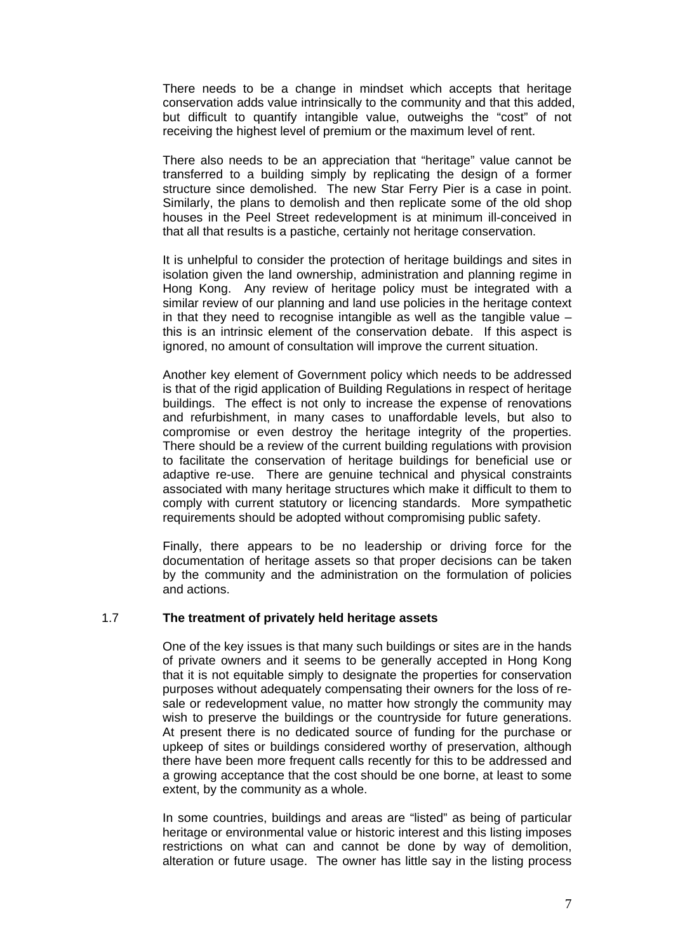There needs to be a change in mindset which accepts that heritage conservation adds value intrinsically to the community and that this added, but difficult to quantify intangible value, outweighs the "cost" of not receiving the highest level of premium or the maximum level of rent.

 There also needs to be an appreciation that "heritage" value cannot be transferred to a building simply by replicating the design of a former structure since demolished. The new Star Ferry Pier is a case in point. Similarly, the plans to demolish and then replicate some of the old shop houses in the Peel Street redevelopment is at minimum ill-conceived in that all that results is a pastiche, certainly not heritage conservation.

 It is unhelpful to consider the protection of heritage buildings and sites in isolation given the land ownership, administration and planning regime in Hong Kong. Any review of heritage policy must be integrated with a similar review of our planning and land use policies in the heritage context in that they need to recognise intangible as well as the tangible value  $$ this is an intrinsic element of the conservation debate. If this aspect is ignored, no amount of consultation will improve the current situation.

 Another key element of Government policy which needs to be addressed is that of the rigid application of Building Regulations in respect of heritage buildings. The effect is not only to increase the expense of renovations and refurbishment, in many cases to unaffordable levels, but also to compromise or even destroy the heritage integrity of the properties. There should be a review of the current building regulations with provision to facilitate the conservation of heritage buildings for beneficial use or adaptive re-use. There are genuine technical and physical constraints associated with many heritage structures which make it difficult to them to comply with current statutory or licencing standards. More sympathetic requirements should be adopted without compromising public safety.

 Finally, there appears to be no leadership or driving force for the documentation of heritage assets so that proper decisions can be taken by the community and the administration on the formulation of policies and actions.

## 1.7 **The treatment of privately held heritage assets**

One of the key issues is that many such buildings or sites are in the hands of private owners and it seems to be generally accepted in Hong Kong that it is not equitable simply to designate the properties for conservation purposes without adequately compensating their owners for the loss of resale or redevelopment value, no matter how strongly the community may wish to preserve the buildings or the countryside for future generations. At present there is no dedicated source of funding for the purchase or upkeep of sites or buildings considered worthy of preservation, although there have been more frequent calls recently for this to be addressed and a growing acceptance that the cost should be one borne, at least to some extent, by the community as a whole.

In some countries, buildings and areas are "listed" as being of particular heritage or environmental value or historic interest and this listing imposes restrictions on what can and cannot be done by way of demolition, alteration or future usage. The owner has little say in the listing process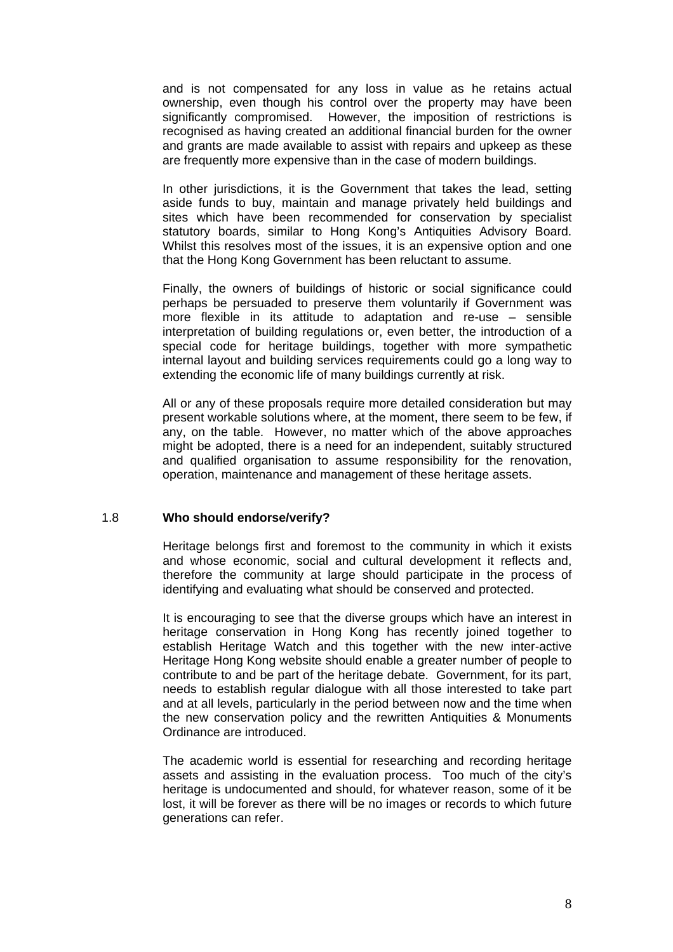and is not compensated for any loss in value as he retains actual ownership, even though his control over the property may have been significantly compromised. However, the imposition of restrictions is recognised as having created an additional financial burden for the owner and grants are made available to assist with repairs and upkeep as these are frequently more expensive than in the case of modern buildings.

In other jurisdictions, it is the Government that takes the lead, setting aside funds to buy, maintain and manage privately held buildings and sites which have been recommended for conservation by specialist statutory boards, similar to Hong Kong's Antiquities Advisory Board. Whilst this resolves most of the issues, it is an expensive option and one that the Hong Kong Government has been reluctant to assume.

Finally, the owners of buildings of historic or social significance could perhaps be persuaded to preserve them voluntarily if Government was more flexible in its attitude to adaptation and re-use – sensible interpretation of building regulations or, even better, the introduction of a special code for heritage buildings, together with more sympathetic internal layout and building services requirements could go a long way to extending the economic life of many buildings currently at risk.

All or any of these proposals require more detailed consideration but may present workable solutions where, at the moment, there seem to be few, if any, on the table. However, no matter which of the above approaches might be adopted, there is a need for an independent, suitably structured and qualified organisation to assume responsibility for the renovation, operation, maintenance and management of these heritage assets.

#### 1.8 **Who should endorse/verify?**

Heritage belongs first and foremost to the community in which it exists and whose economic, social and cultural development it reflects and, therefore the community at large should participate in the process of identifying and evaluating what should be conserved and protected.

 It is encouraging to see that the diverse groups which have an interest in heritage conservation in Hong Kong has recently joined together to establish Heritage Watch and this together with the new inter-active Heritage Hong Kong website should enable a greater number of people to contribute to and be part of the heritage debate. Government, for its part, needs to establish regular dialogue with all those interested to take part and at all levels, particularly in the period between now and the time when the new conservation policy and the rewritten Antiquities & Monuments Ordinance are introduced.

 The academic world is essential for researching and recording heritage assets and assisting in the evaluation process. Too much of the city's heritage is undocumented and should, for whatever reason, some of it be lost, it will be forever as there will be no images or records to which future generations can refer.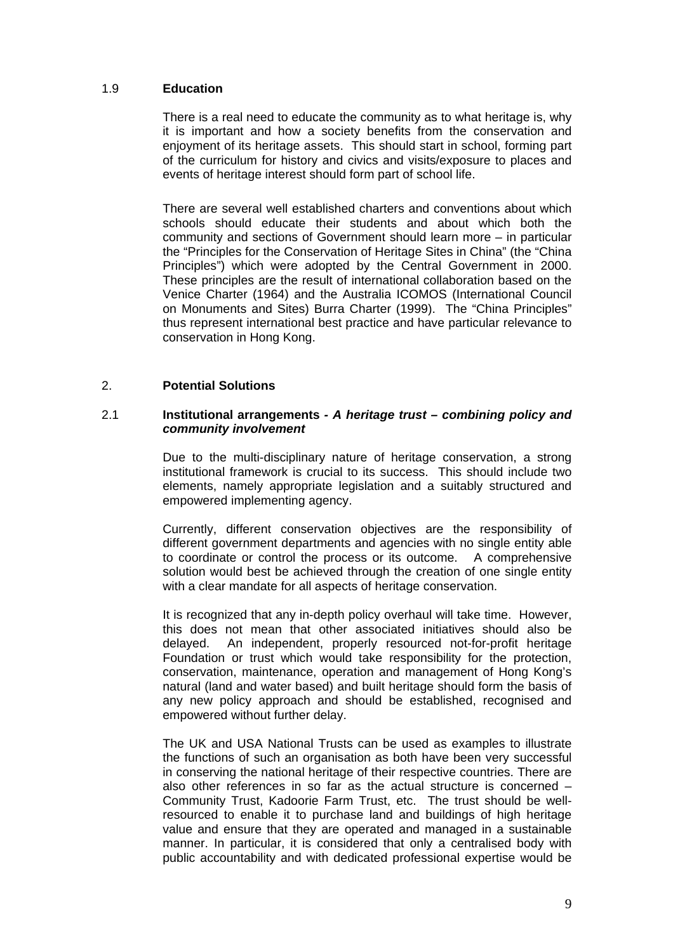### 1.9 **Education**

There is a real need to educate the community as to what heritage is, why it is important and how a society benefits from the conservation and enjoyment of its heritage assets. This should start in school, forming part of the curriculum for history and civics and visits/exposure to places and events of heritage interest should form part of school life.

There are several well established charters and conventions about which schools should educate their students and about which both the community and sections of Government should learn more – in particular the "Principles for the Conservation of Heritage Sites in China" (the "China Principles") which were adopted by the Central Government in 2000. These principles are the result of international collaboration based on the Venice Charter (1964) and the Australia ICOMOS (International Council on Monuments and Sites) Burra Charter (1999). The "China Principles" thus represent international best practice and have particular relevance to conservation in Hong Kong.

## 2. **Potential Solutions**

### 2.1 **Institutional arrangements** *- A heritage trust – combining policy and community involvement*

Due to the multi-disciplinary nature of heritage conservation, a strong institutional framework is crucial to its success. This should include two elements, namely appropriate legislation and a suitably structured and empowered implementing agency.

Currently, different conservation objectives are the responsibility of different government departments and agencies with no single entity able to coordinate or control the process or its outcome. A comprehensive solution would best be achieved through the creation of one single entity with a clear mandate for all aspects of heritage conservation.

It is recognized that any in-depth policy overhaul will take time. However, this does not mean that other associated initiatives should also be delayed. An independent, properly resourced not-for-profit heritage Foundation or trust which would take responsibility for the protection, conservation, maintenance, operation and management of Hong Kong's natural (land and water based) and built heritage should form the basis of any new policy approach and should be established, recognised and empowered without further delay.

The UK and USA National Trusts can be used as examples to illustrate the functions of such an organisation as both have been very successful in conserving the national heritage of their respective countries. There are also other references in so far as the actual structure is concerned – Community Trust, Kadoorie Farm Trust, etc. The trust should be wellresourced to enable it to purchase land and buildings of high heritage value and ensure that they are operated and managed in a sustainable manner. In particular, it is considered that only a centralised body with public accountability and with dedicated professional expertise would be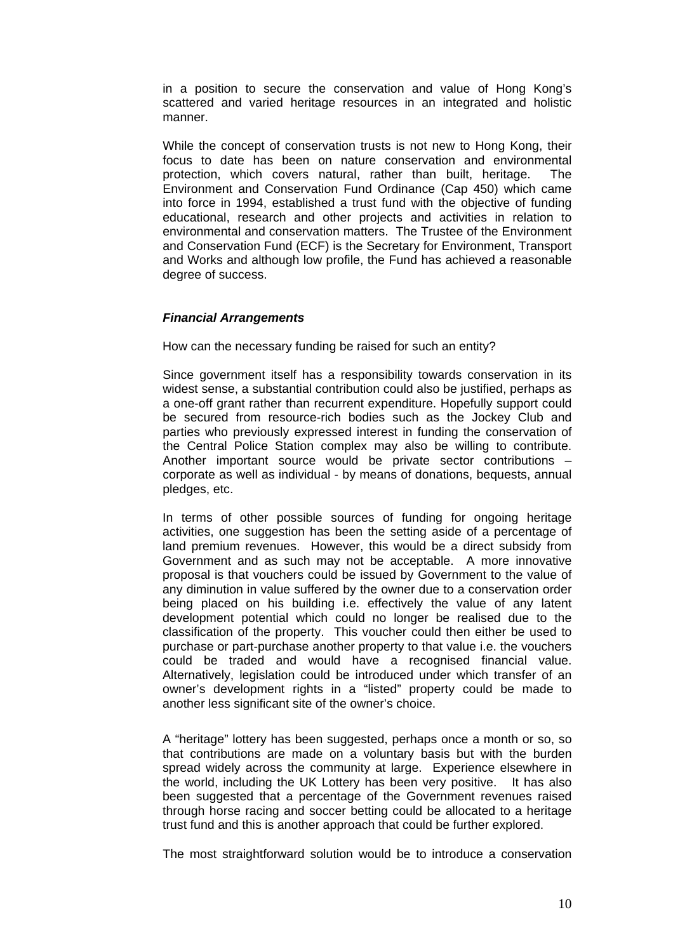in a position to secure the conservation and value of Hong Kong's scattered and varied heritage resources in an integrated and holistic manner.

While the concept of conservation trusts is not new to Hong Kong, their focus to date has been on nature conservation and environmental protection, which covers natural, rather than built, heritage. The Environment and Conservation Fund Ordinance (Cap 450) which came into force in 1994, established a trust fund with the objective of funding educational, research and other projects and activities in relation to environmental and conservation matters. The Trustee of the Environment and Conservation Fund (ECF) is the Secretary for Environment, Transport and Works and although low profile, the Fund has achieved a reasonable degree of success.

### *Financial Arrangements*

How can the necessary funding be raised for such an entity?

Since government itself has a responsibility towards conservation in its widest sense, a substantial contribution could also be justified, perhaps as a one-off grant rather than recurrent expenditure. Hopefully support could be secured from resource-rich bodies such as the Jockey Club and parties who previously expressed interest in funding the conservation of the Central Police Station complex may also be willing to contribute. Another important source would be private sector contributions – corporate as well as individual - by means of donations, bequests, annual pledges, etc.

In terms of other possible sources of funding for ongoing heritage activities, one suggestion has been the setting aside of a percentage of land premium revenues. However, this would be a direct subsidy from Government and as such may not be acceptable. A more innovative proposal is that vouchers could be issued by Government to the value of any diminution in value suffered by the owner due to a conservation order being placed on his building i.e. effectively the value of any latent development potential which could no longer be realised due to the classification of the property. This voucher could then either be used to purchase or part-purchase another property to that value i.e. the vouchers could be traded and would have a recognised financial value. Alternatively, legislation could be introduced under which transfer of an owner's development rights in a "listed" property could be made to another less significant site of the owner's choice.

A "heritage" lottery has been suggested, perhaps once a month or so, so that contributions are made on a voluntary basis but with the burden spread widely across the community at large. Experience elsewhere in the world, including the UK Lottery has been very positive. It has also been suggested that a percentage of the Government revenues raised through horse racing and soccer betting could be allocated to a heritage trust fund and this is another approach that could be further explored.

The most straightforward solution would be to introduce a conservation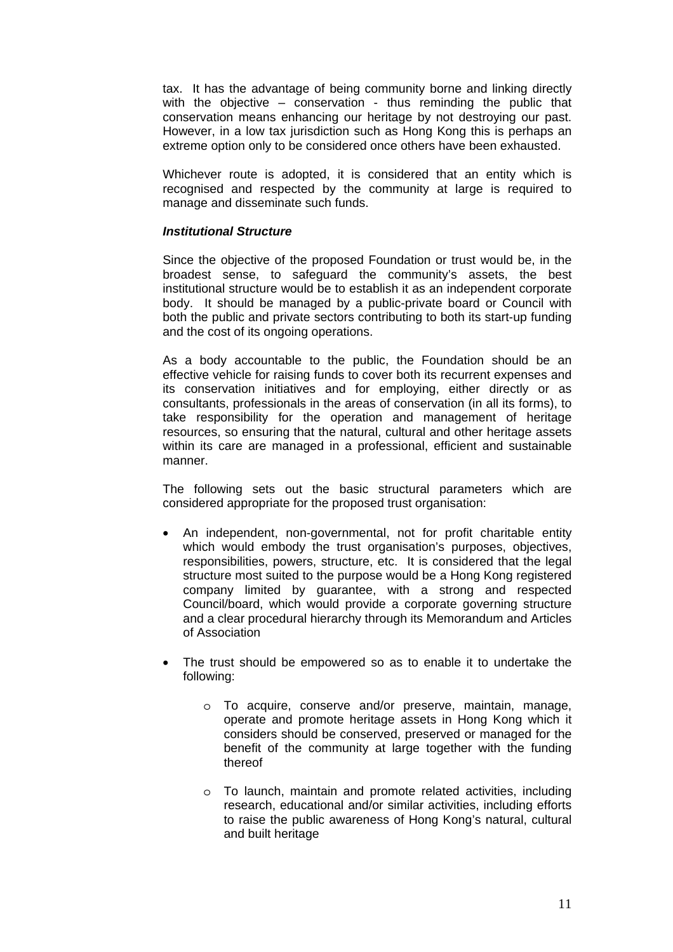tax. It has the advantage of being community borne and linking directly with the objective – conservation - thus reminding the public that conservation means enhancing our heritage by not destroying our past. However, in a low tax jurisdiction such as Hong Kong this is perhaps an extreme option only to be considered once others have been exhausted.

Whichever route is adopted, it is considered that an entity which is recognised and respected by the community at large is required to manage and disseminate such funds.

### *Institutional Structure*

Since the objective of the proposed Foundation or trust would be, in the broadest sense, to safeguard the community's assets, the best institutional structure would be to establish it as an independent corporate body. It should be managed by a public-private board or Council with both the public and private sectors contributing to both its start-up funding and the cost of its ongoing operations.

As a body accountable to the public, the Foundation should be an effective vehicle for raising funds to cover both its recurrent expenses and its conservation initiatives and for employing, either directly or as consultants, professionals in the areas of conservation (in all its forms), to take responsibility for the operation and management of heritage resources, so ensuring that the natural, cultural and other heritage assets within its care are managed in a professional, efficient and sustainable manner.

The following sets out the basic structural parameters which are considered appropriate for the proposed trust organisation:

- An independent, non-governmental, not for profit charitable entity which would embody the trust organisation's purposes, objectives, responsibilities, powers, structure, etc. It is considered that the legal structure most suited to the purpose would be a Hong Kong registered company limited by guarantee, with a strong and respected Council/board, which would provide a corporate governing structure and a clear procedural hierarchy through its Memorandum and Articles of Association
- The trust should be empowered so as to enable it to undertake the following:
	- o To acquire, conserve and/or preserve, maintain, manage, operate and promote heritage assets in Hong Kong which it considers should be conserved, preserved or managed for the benefit of the community at large together with the funding thereof
	- o To launch, maintain and promote related activities, including research, educational and/or similar activities, including efforts to raise the public awareness of Hong Kong's natural, cultural and built heritage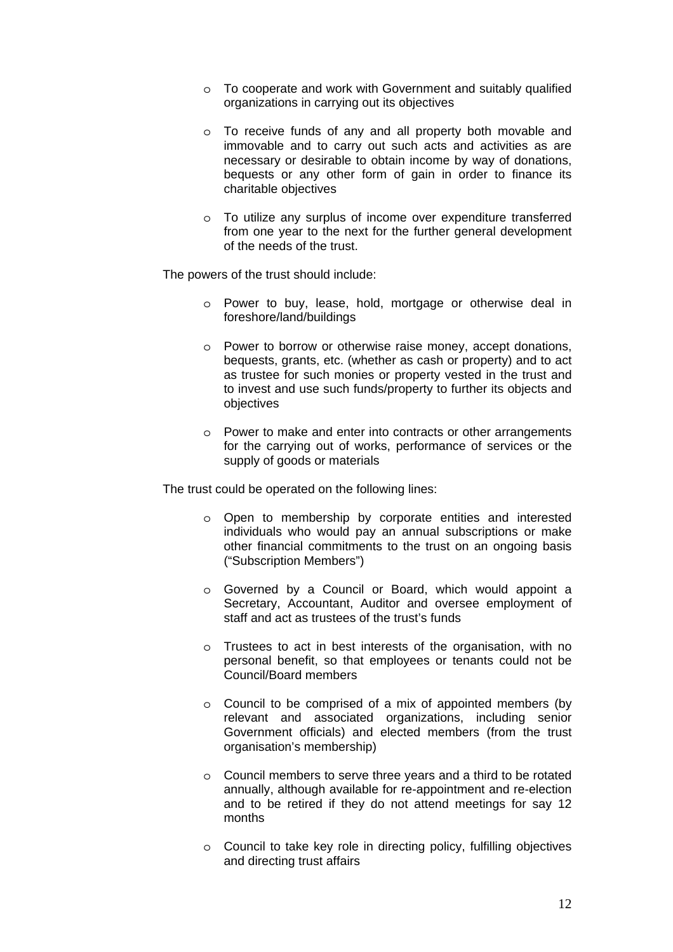- o To cooperate and work with Government and suitably qualified organizations in carrying out its objectives
- o To receive funds of any and all property both movable and immovable and to carry out such acts and activities as are necessary or desirable to obtain income by way of donations, bequests or any other form of gain in order to finance its charitable objectives
- o To utilize any surplus of income over expenditure transferred from one year to the next for the further general development of the needs of the trust.

The powers of the trust should include:

- o Power to buy, lease, hold, mortgage or otherwise deal in foreshore/land/buildings
- o Power to borrow or otherwise raise money, accept donations, bequests, grants, etc. (whether as cash or property) and to act as trustee for such monies or property vested in the trust and to invest and use such funds/property to further its objects and objectives
- o Power to make and enter into contracts or other arrangements for the carrying out of works, performance of services or the supply of goods or materials

The trust could be operated on the following lines:

- o Open to membership by corporate entities and interested individuals who would pay an annual subscriptions or make other financial commitments to the trust on an ongoing basis ("Subscription Members")
- o Governed by a Council or Board, which would appoint a Secretary, Accountant, Auditor and oversee employment of staff and act as trustees of the trust's funds
- o Trustees to act in best interests of the organisation, with no personal benefit, so that employees or tenants could not be Council/Board members
- o Council to be comprised of a mix of appointed members (by relevant and associated organizations, including senior Government officials) and elected members (from the trust organisation's membership)
- o Council members to serve three years and a third to be rotated annually, although available for re-appointment and re-election and to be retired if they do not attend meetings for say 12 months
- o Council to take key role in directing policy, fulfilling objectives and directing trust affairs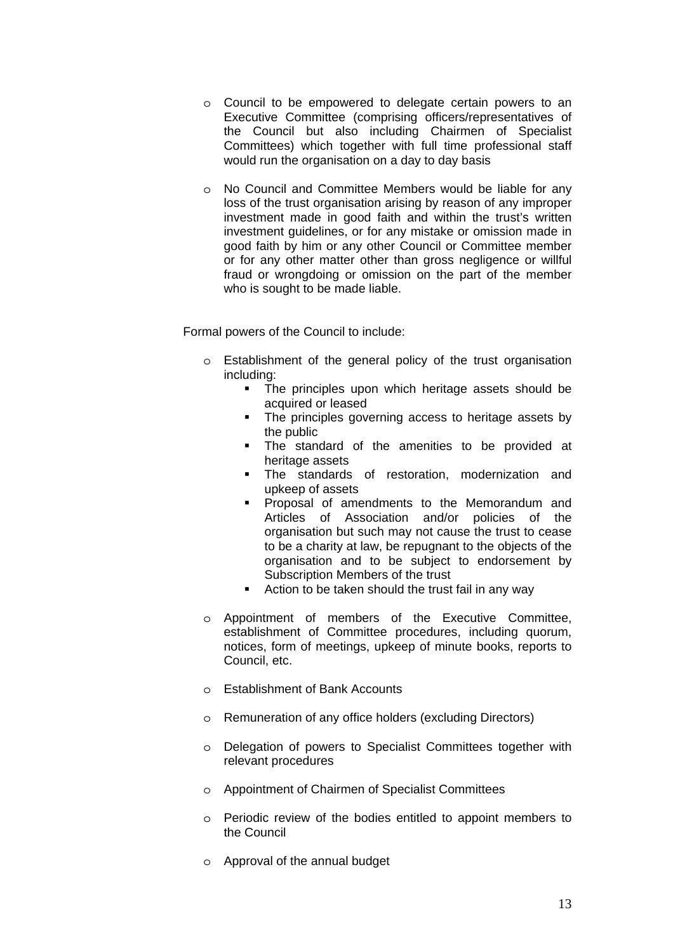- o Council to be empowered to delegate certain powers to an Executive Committee (comprising officers/representatives of the Council but also including Chairmen of Specialist Committees) which together with full time professional staff would run the organisation on a day to day basis
- o No Council and Committee Members would be liable for any loss of the trust organisation arising by reason of any improper investment made in good faith and within the trust's written investment guidelines, or for any mistake or omission made in good faith by him or any other Council or Committee member or for any other matter other than gross negligence or willful fraud or wrongdoing or omission on the part of the member who is sought to be made liable.

Formal powers of the Council to include:

- o Establishment of the general policy of the trust organisation including:
	- **The principles upon which heritage assets should be** acquired or leased
	- The principles governing access to heritage assets by the public
	- The standard of the amenities to be provided at heritage assets
	- **The standards of restoration, modernization and** upkeep of assets
	- **Proposal of amendments to the Memorandum and** Articles of Association and/or policies of the organisation but such may not cause the trust to cease to be a charity at law, be repugnant to the objects of the organisation and to be subject to endorsement by Subscription Members of the trust
	- **E** Action to be taken should the trust fail in any way
- o Appointment of members of the Executive Committee, establishment of Committee procedures, including quorum, notices, form of meetings, upkeep of minute books, reports to Council, etc.
- o Establishment of Bank Accounts
- o Remuneration of any office holders (excluding Directors)
- o Delegation of powers to Specialist Committees together with relevant procedures
- o Appointment of Chairmen of Specialist Committees
- o Periodic review of the bodies entitled to appoint members to the Council
- o Approval of the annual budget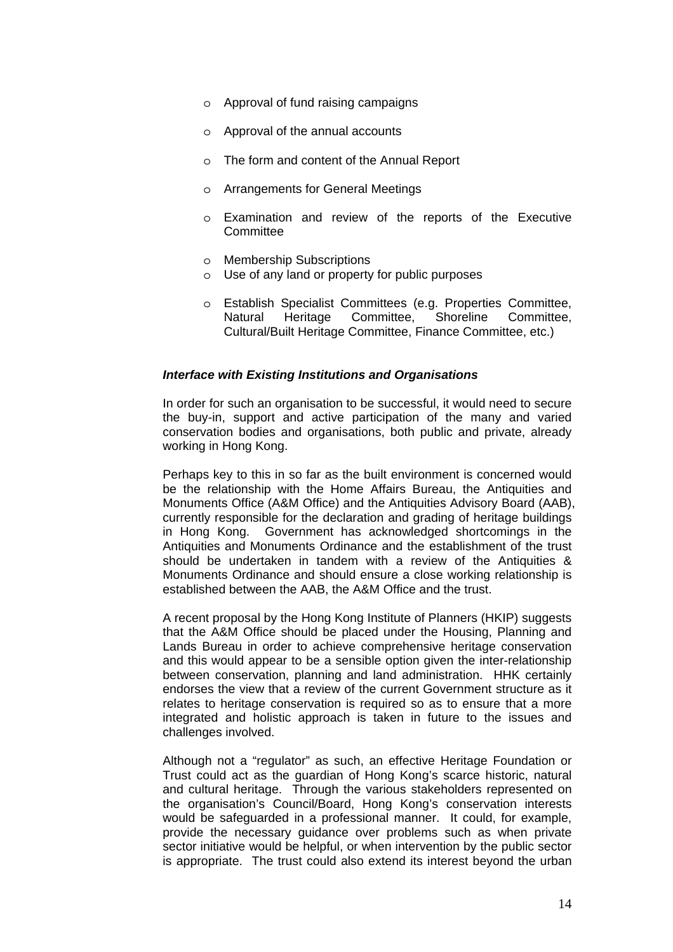- o Approval of fund raising campaigns
- o Approval of the annual accounts
- o The form and content of the Annual Report
- o Arrangements for General Meetings
- o Examination and review of the reports of the Executive **Committee**
- o Membership Subscriptions
- o Use of any land or property for public purposes
- o Establish Specialist Committees (e.g. Properties Committee, Natural Heritage Committee, Shoreline Committee, Cultural/Built Heritage Committee, Finance Committee, etc.)

### *Interface with Existing Institutions and Organisations*

In order for such an organisation to be successful, it would need to secure the buy-in, support and active participation of the many and varied conservation bodies and organisations, both public and private, already working in Hong Kong.

Perhaps key to this in so far as the built environment is concerned would be the relationship with the Home Affairs Bureau, the Antiquities and Monuments Office (A&M Office) and the Antiquities Advisory Board (AAB), currently responsible for the declaration and grading of heritage buildings in Hong Kong. Government has acknowledged shortcomings in the Antiquities and Monuments Ordinance and the establishment of the trust should be undertaken in tandem with a review of the Antiquities & Monuments Ordinance and should ensure a close working relationship is established between the AAB, the A&M Office and the trust.

A recent proposal by the Hong Kong Institute of Planners (HKIP) suggests that the A&M Office should be placed under the Housing, Planning and Lands Bureau in order to achieve comprehensive heritage conservation and this would appear to be a sensible option given the inter-relationship between conservation, planning and land administration. HHK certainly endorses the view that a review of the current Government structure as it relates to heritage conservation is required so as to ensure that a more integrated and holistic approach is taken in future to the issues and challenges involved.

Although not a "regulator" as such, an effective Heritage Foundation or Trust could act as the guardian of Hong Kong's scarce historic, natural and cultural heritage. Through the various stakeholders represented on the organisation's Council/Board, Hong Kong's conservation interests would be safeguarded in a professional manner. It could, for example, provide the necessary guidance over problems such as when private sector initiative would be helpful, or when intervention by the public sector is appropriate. The trust could also extend its interest beyond the urban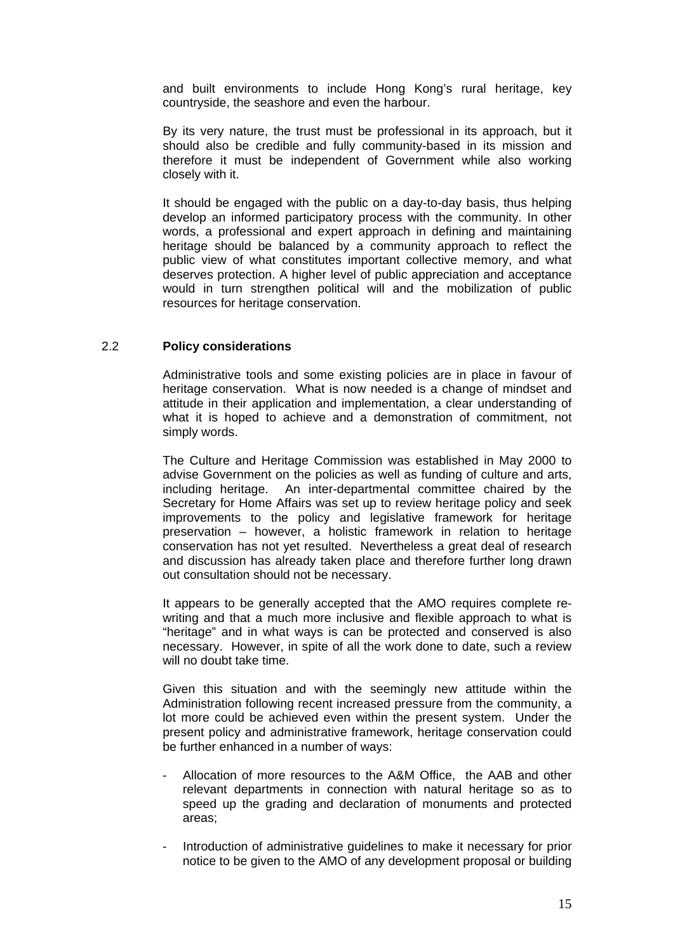and built environments to include Hong Kong's rural heritage, key countryside, the seashore and even the harbour.

By its very nature, the trust must be professional in its approach, but it should also be credible and fully community-based in its mission and therefore it must be independent of Government while also working closely with it.

It should be engaged with the public on a day-to-day basis, thus helping develop an informed participatory process with the community. In other words, a professional and expert approach in defining and maintaining heritage should be balanced by a community approach to reflect the public view of what constitutes important collective memory, and what deserves protection. A higher level of public appreciation and acceptance would in turn strengthen political will and the mobilization of public resources for heritage conservation.

### 2.2 **Policy considerations**

Administrative tools and some existing policies are in place in favour of heritage conservation. What is now needed is a change of mindset and attitude in their application and implementation, a clear understanding of what it is hoped to achieve and a demonstration of commitment, not simply words.

The Culture and Heritage Commission was established in May 2000 to advise Government on the policies as well as funding of culture and arts, including heritage. An inter-departmental committee chaired by the Secretary for Home Affairs was set up to review heritage policy and seek improvements to the policy and legislative framework for heritage preservation – however, a holistic framework in relation to heritage conservation has not yet resulted. Nevertheless a great deal of research and discussion has already taken place and therefore further long drawn out consultation should not be necessary.

It appears to be generally accepted that the AMO requires complete rewriting and that a much more inclusive and flexible approach to what is "heritage" and in what ways is can be protected and conserved is also necessary. However, in spite of all the work done to date, such a review will no doubt take time.

 Given this situation and with the seemingly new attitude within the Administration following recent increased pressure from the community, a lot more could be achieved even within the present system. Under the present policy and administrative framework, heritage conservation could be further enhanced in a number of ways:

- Allocation of more resources to the A&M Office, the AAB and other relevant departments in connection with natural heritage so as to speed up the grading and declaration of monuments and protected areas;
- Introduction of administrative guidelines to make it necessary for prior notice to be given to the AMO of any development proposal or building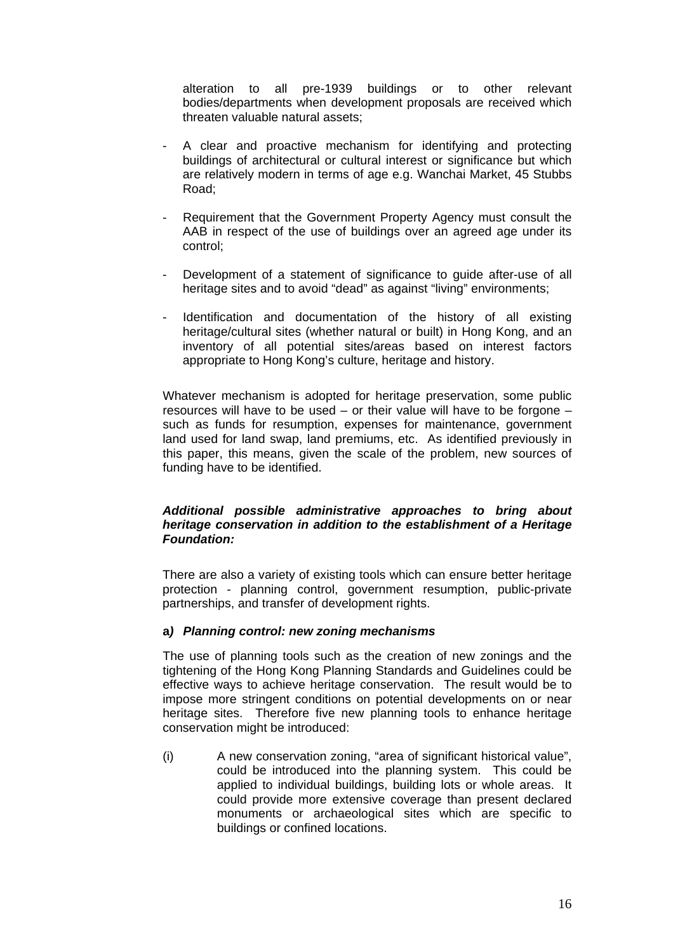alteration to all pre-1939 buildings or to other relevant bodies/departments when development proposals are received which threaten valuable natural assets;

- A clear and proactive mechanism for identifying and protecting buildings of architectural or cultural interest or significance but which are relatively modern in terms of age e.g. Wanchai Market, 45 Stubbs Road;
- Requirement that the Government Property Agency must consult the AAB in respect of the use of buildings over an agreed age under its control;
- Development of a statement of significance to guide after-use of all heritage sites and to avoid "dead" as against "living" environments;
- Identification and documentation of the history of all existing heritage/cultural sites (whether natural or built) in Hong Kong, and an inventory of all potential sites/areas based on interest factors appropriate to Hong Kong's culture, heritage and history.

Whatever mechanism is adopted for heritage preservation, some public resources will have to be used – or their value will have to be forgone – such as funds for resumption, expenses for maintenance, government land used for land swap, land premiums, etc. As identified previously in this paper, this means, given the scale of the problem, new sources of funding have to be identified.

## *Additional possible administrative approaches to bring about heritage conservation in addition to the establishment of a Heritage Foundation:*

There are also a variety of existing tools which can ensure better heritage protection - planning control, government resumption, public-private partnerships, and transfer of development rights.

## **a***) Planning control: new zoning mechanisms*

The use of planning tools such as the creation of new zonings and the tightening of the Hong Kong Planning Standards and Guidelines could be effective ways to achieve heritage conservation. The result would be to impose more stringent conditions on potential developments on or near heritage sites. Therefore five new planning tools to enhance heritage conservation might be introduced:

(i) A new conservation zoning, "area of significant historical value", could be introduced into the planning system. This could be applied to individual buildings, building lots or whole areas. It could provide more extensive coverage than present declared monuments or archaeological sites which are specific to buildings or confined locations.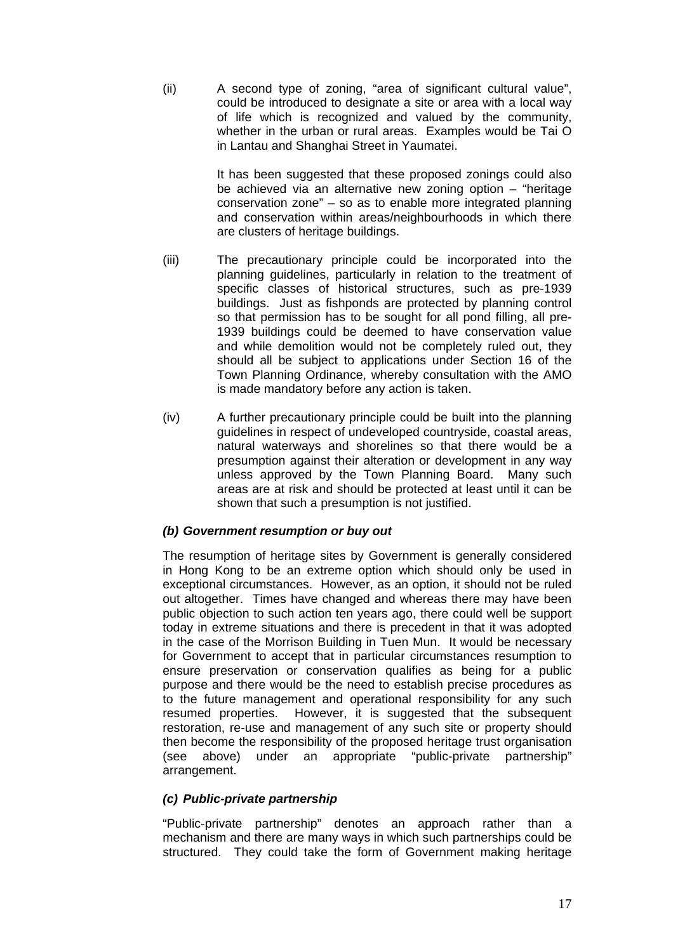(ii) A second type of zoning, "area of significant cultural value", could be introduced to designate a site or area with a local way of life which is recognized and valued by the community, whether in the urban or rural areas. Examples would be Tai O in Lantau and Shanghai Street in Yaumatei.

> It has been suggested that these proposed zonings could also be achieved via an alternative new zoning option – "heritage conservation zone" – so as to enable more integrated planning and conservation within areas/neighbourhoods in which there are clusters of heritage buildings.

- (iii) The precautionary principle could be incorporated into the planning guidelines, particularly in relation to the treatment of specific classes of historical structures, such as pre-1939 buildings. Just as fishponds are protected by planning control so that permission has to be sought for all pond filling, all pre-1939 buildings could be deemed to have conservation value and while demolition would not be completely ruled out, they should all be subject to applications under Section 16 of the Town Planning Ordinance, whereby consultation with the AMO is made mandatory before any action is taken.
- (iv) A further precautionary principle could be built into the planning guidelines in respect of undeveloped countryside, coastal areas, natural waterways and shorelines so that there would be a presumption against their alteration or development in any way unless approved by the Town Planning Board. Many such areas are at risk and should be protected at least until it can be shown that such a presumption is not justified.

## *(b) Government resumption or buy out*

The resumption of heritage sites by Government is generally considered in Hong Kong to be an extreme option which should only be used in exceptional circumstances. However, as an option, it should not be ruled out altogether. Times have changed and whereas there may have been public objection to such action ten years ago, there could well be support today in extreme situations and there is precedent in that it was adopted in the case of the Morrison Building in Tuen Mun. It would be necessary for Government to accept that in particular circumstances resumption to ensure preservation or conservation qualifies as being for a public purpose and there would be the need to establish precise procedures as to the future management and operational responsibility for any such resumed properties. However, it is suggested that the subsequent restoration, re-use and management of any such site or property should then become the responsibility of the proposed heritage trust organisation (see above) under an appropriate "public-private partnership" arrangement.

## *(c) Public-private partnership*

"Public-private partnership" denotes an approach rather than a mechanism and there are many ways in which such partnerships could be structured. They could take the form of Government making heritage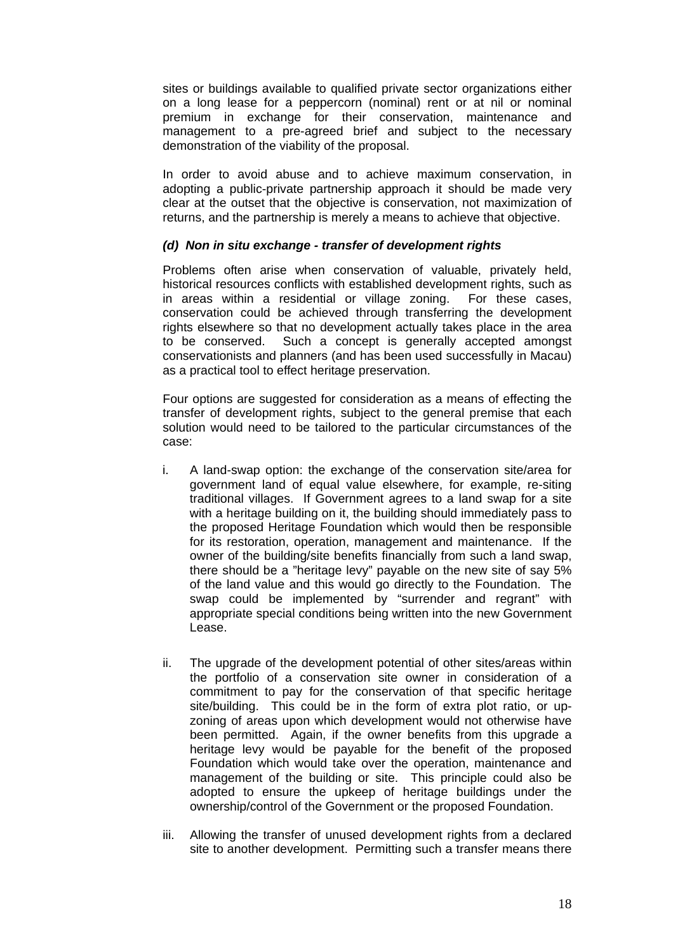sites or buildings available to qualified private sector organizations either on a long lease for a peppercorn (nominal) rent or at nil or nominal premium in exchange for their conservation, maintenance and management to a pre-agreed brief and subject to the necessary demonstration of the viability of the proposal.

In order to avoid abuse and to achieve maximum conservation, in adopting a public-private partnership approach it should be made very clear at the outset that the objective is conservation, not maximization of returns, and the partnership is merely a means to achieve that objective.

## *(d) Non in situ exchange - transfer of development rights*

Problems often arise when conservation of valuable, privately held, historical resources conflicts with established development rights, such as in areas within a residential or village zoning. For these cases, conservation could be achieved through transferring the development rights elsewhere so that no development actually takes place in the area to be conserved. Such a concept is generally accepted amongst conservationists and planners (and has been used successfully in Macau) as a practical tool to effect heritage preservation.

Four options are suggested for consideration as a means of effecting the transfer of development rights, subject to the general premise that each solution would need to be tailored to the particular circumstances of the case:

- i. A land-swap option: the exchange of the conservation site/area for government land of equal value elsewhere, for example, re-siting traditional villages. If Government agrees to a land swap for a site with a heritage building on it, the building should immediately pass to the proposed Heritage Foundation which would then be responsible for its restoration, operation, management and maintenance. If the owner of the building/site benefits financially from such a land swap, there should be a "heritage levy" payable on the new site of say 5% of the land value and this would go directly to the Foundation. The swap could be implemented by "surrender and regrant" with appropriate special conditions being written into the new Government Lease.
- ii. The upgrade of the development potential of other sites/areas within the portfolio of a conservation site owner in consideration of a commitment to pay for the conservation of that specific heritage site/building. This could be in the form of extra plot ratio, or upzoning of areas upon which development would not otherwise have been permitted. Again, if the owner benefits from this upgrade a heritage levy would be payable for the benefit of the proposed Foundation which would take over the operation, maintenance and management of the building or site. This principle could also be adopted to ensure the upkeep of heritage buildings under the ownership/control of the Government or the proposed Foundation.
- iii. Allowing the transfer of unused development rights from a declared site to another development. Permitting such a transfer means there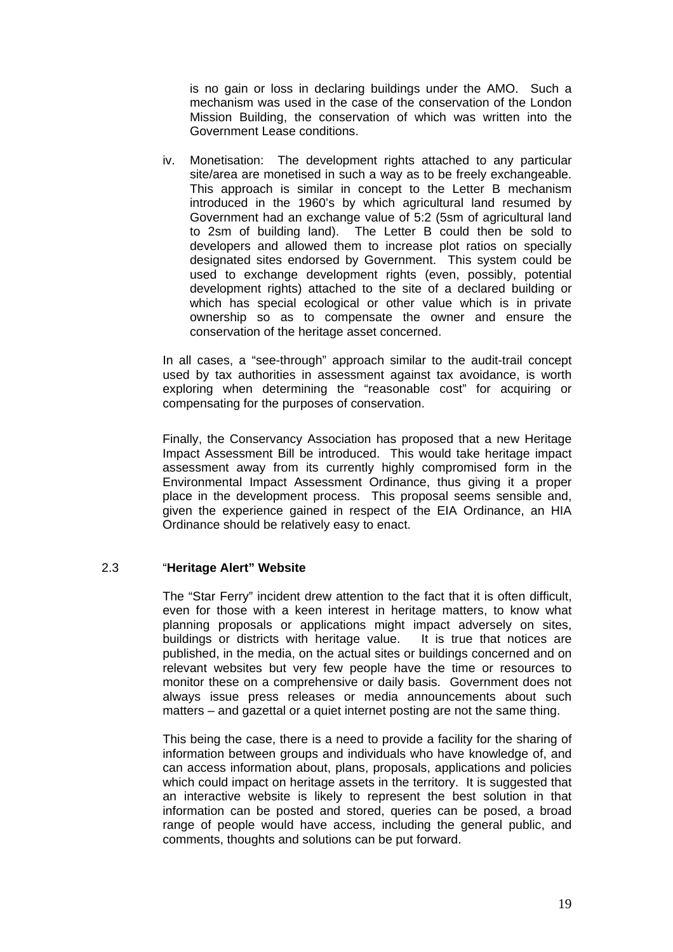is no gain or loss in declaring buildings under the AMO. Such a mechanism was used in the case of the conservation of the London Mission Building, the conservation of which was written into the Government Lease conditions.

iv. Monetisation: The development rights attached to any particular site/area are monetised in such a way as to be freely exchangeable. This approach is similar in concept to the Letter B mechanism introduced in the 1960's by which agricultural land resumed by Government had an exchange value of 5:2 (5sm of agricultural land to 2sm of building land). The Letter B could then be sold to developers and allowed them to increase plot ratios on specially designated sites endorsed by Government. This system could be used to exchange development rights (even, possibly, potential development rights) attached to the site of a declared building or which has special ecological or other value which is in private ownership so as to compensate the owner and ensure the conservation of the heritage asset concerned.

In all cases, a "see-through" approach similar to the audit-trail concept used by tax authorities in assessment against tax avoidance, is worth exploring when determining the "reasonable cost" for acquiring or compensating for the purposes of conservation.

Finally, the Conservancy Association has proposed that a new Heritage Impact Assessment Bill be introduced. This would take heritage impact assessment away from its currently highly compromised form in the Environmental Impact Assessment Ordinance, thus giving it a proper place in the development process. This proposal seems sensible and, given the experience gained in respect of the EIA Ordinance, an HIA Ordinance should be relatively easy to enact.

## 2.3 "**Heritage Alert" Website**

The "Star Ferry" incident drew attention to the fact that it is often difficult, even for those with a keen interest in heritage matters, to know what planning proposals or applications might impact adversely on sites, buildings or districts with heritage value. It is true that notices are published, in the media, on the actual sites or buildings concerned and on relevant websites but very few people have the time or resources to monitor these on a comprehensive or daily basis. Government does not always issue press releases or media announcements about such matters – and gazettal or a quiet internet posting are not the same thing.

 This being the case, there is a need to provide a facility for the sharing of information between groups and individuals who have knowledge of, and can access information about, plans, proposals, applications and policies which could impact on heritage assets in the territory. It is suggested that an interactive website is likely to represent the best solution in that information can be posted and stored, queries can be posed, a broad range of people would have access, including the general public, and comments, thoughts and solutions can be put forward.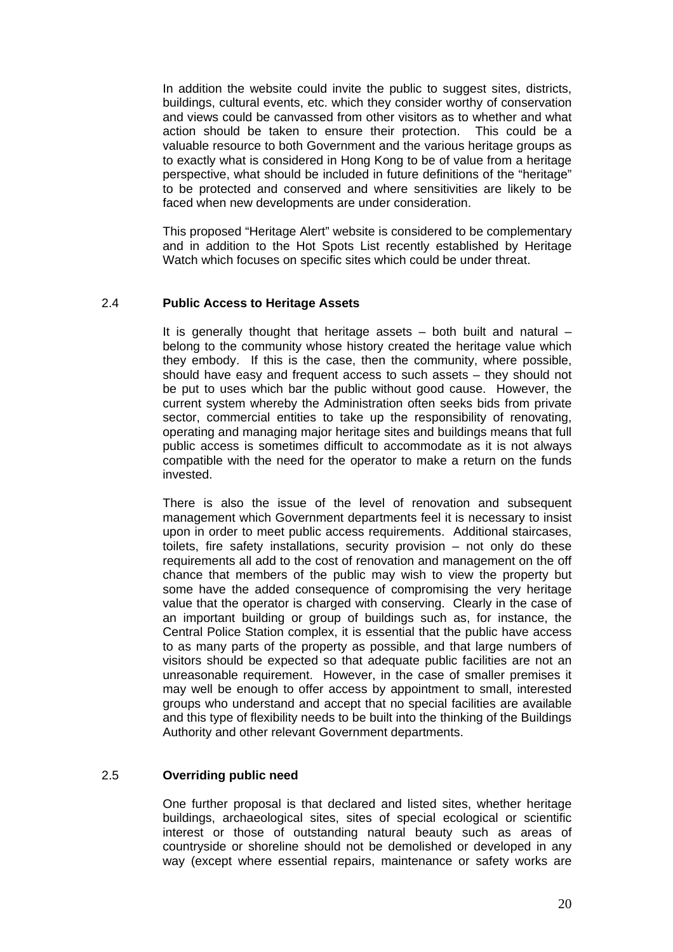In addition the website could invite the public to suggest sites, districts, buildings, cultural events, etc. which they consider worthy of conservation and views could be canvassed from other visitors as to whether and what action should be taken to ensure their protection. This could be a valuable resource to both Government and the various heritage groups as to exactly what is considered in Hong Kong to be of value from a heritage perspective, what should be included in future definitions of the "heritage" to be protected and conserved and where sensitivities are likely to be faced when new developments are under consideration.

 This proposed "Heritage Alert" website is considered to be complementary and in addition to the Hot Spots List recently established by Heritage Watch which focuses on specific sites which could be under threat.

### 2.4 **Public Access to Heritage Assets**

It is generally thought that heritage assets  $-$  both built and natural  $$ belong to the community whose history created the heritage value which they embody. If this is the case, then the community, where possible, should have easy and frequent access to such assets – they should not be put to uses which bar the public without good cause. However, the current system whereby the Administration often seeks bids from private sector, commercial entities to take up the responsibility of renovating, operating and managing major heritage sites and buildings means that full public access is sometimes difficult to accommodate as it is not always compatible with the need for the operator to make a return on the funds invested.

 There is also the issue of the level of renovation and subsequent management which Government departments feel it is necessary to insist upon in order to meet public access requirements. Additional staircases, toilets, fire safety installations, security provision – not only do these requirements all add to the cost of renovation and management on the off chance that members of the public may wish to view the property but some have the added consequence of compromising the very heritage value that the operator is charged with conserving. Clearly in the case of an important building or group of buildings such as, for instance, the Central Police Station complex, it is essential that the public have access to as many parts of the property as possible, and that large numbers of visitors should be expected so that adequate public facilities are not an unreasonable requirement. However, in the case of smaller premises it may well be enough to offer access by appointment to small, interested groups who understand and accept that no special facilities are available and this type of flexibility needs to be built into the thinking of the Buildings Authority and other relevant Government departments.

## 2.5 **Overriding public need**

One further proposal is that declared and listed sites, whether heritage buildings, archaeological sites, sites of special ecological or scientific interest or those of outstanding natural beauty such as areas of countryside or shoreline should not be demolished or developed in any way (except where essential repairs, maintenance or safety works are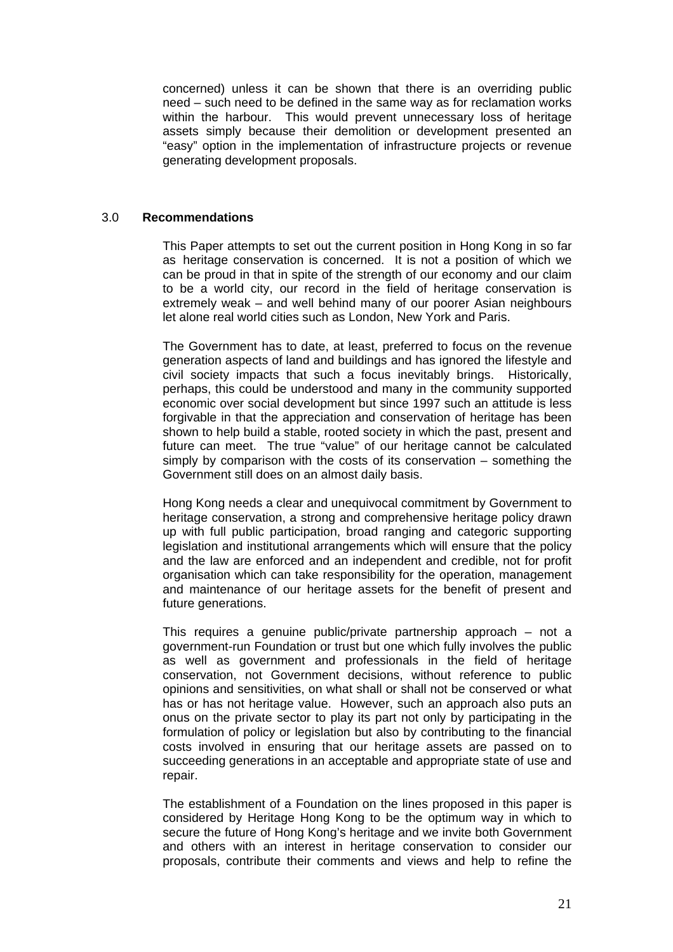concerned) unless it can be shown that there is an overriding public need – such need to be defined in the same way as for reclamation works within the harbour. This would prevent unnecessary loss of heritage assets simply because their demolition or development presented an "easy" option in the implementation of infrastructure projects or revenue generating development proposals.

## 3.0 **Recommendations**

This Paper attempts to set out the current position in Hong Kong in so far as heritage conservation is concerned. It is not a position of which we can be proud in that in spite of the strength of our economy and our claim to be a world city, our record in the field of heritage conservation is extremely weak – and well behind many of our poorer Asian neighbours let alone real world cities such as London, New York and Paris.

The Government has to date, at least, preferred to focus on the revenue generation aspects of land and buildings and has ignored the lifestyle and civil society impacts that such a focus inevitably brings. Historically, perhaps, this could be understood and many in the community supported economic over social development but since 1997 such an attitude is less forgivable in that the appreciation and conservation of heritage has been shown to help build a stable, rooted society in which the past, present and future can meet. The true "value" of our heritage cannot be calculated simply by comparison with the costs of its conservation – something the Government still does on an almost daily basis.

Hong Kong needs a clear and unequivocal commitment by Government to heritage conservation, a strong and comprehensive heritage policy drawn up with full public participation, broad ranging and categoric supporting legislation and institutional arrangements which will ensure that the policy and the law are enforced and an independent and credible, not for profit organisation which can take responsibility for the operation, management and maintenance of our heritage assets for the benefit of present and future generations.

This requires a genuine public/private partnership approach – not a government-run Foundation or trust but one which fully involves the public as well as government and professionals in the field of heritage conservation, not Government decisions, without reference to public opinions and sensitivities, on what shall or shall not be conserved or what has or has not heritage value. However, such an approach also puts an onus on the private sector to play its part not only by participating in the formulation of policy or legislation but also by contributing to the financial costs involved in ensuring that our heritage assets are passed on to succeeding generations in an acceptable and appropriate state of use and repair.

The establishment of a Foundation on the lines proposed in this paper is considered by Heritage Hong Kong to be the optimum way in which to secure the future of Hong Kong's heritage and we invite both Government and others with an interest in heritage conservation to consider our proposals, contribute their comments and views and help to refine the